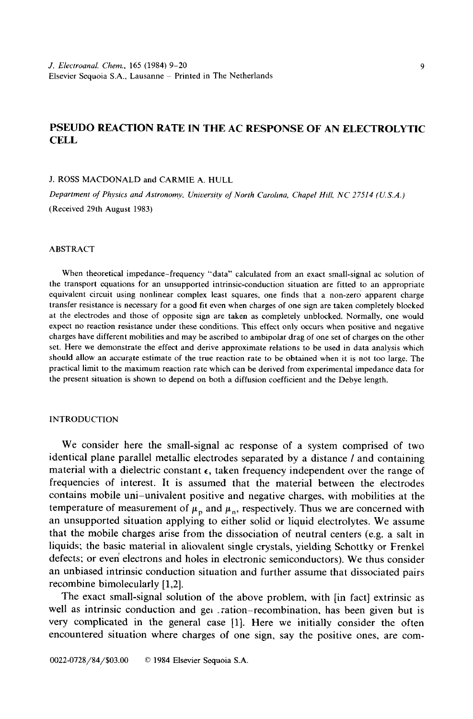# **PSEUDO REACTION RATE IN THE AC RESPONSE OF AN ELECTROLYTIC CELL**

J. ROSS MACDONALD and CARMIE A. HULL

*Department of Physics and Astronomy, University of North Carolina, Chapel Hill, NC 27514 (U.S.A.)* (Received 29th August 1983)

## ABSTRACT

When theoretical impedance-frequency "data" calculated from an exact small-signal ac solution of the transport equations for an unsupported intrinsic-conduction situation are fitted to an appropriate equivalent circuit using nonlinear complex least squares, one finds that a non-zero apparent charge transfer resistance is necessary for a good fit even when charges of one sign are taken completely blocked at the electrodes and those of opposite sign are taken as completely unblocked. Normally, one would expect no reaction resistance under these conditions. This effect only occurs when positive and negative charges have different mobilities and may be ascribed to ambipolar drag of one set of charges on the other set. Here we demonstrate the effect and derive approximate relations to be used in data analysis which should allow an accurate estimate of the true reaction rate to be obtained when it is not too large. The practical limit to the maximum reaction rate which can be derived from experimental impedance data for the present situation is shown to depend on both a diffusion coefficient and the Debye length.

## INTRODUCTION

We consider here the small-signal ac response of a system comprised of two identical plane parallel metallic electrodes separated by a distance *l* and containing material with a dielectric constant  $\epsilon$ , taken frequency independent over the range of frequencies of interest. It is assumed that the material between the electrodes contains mobile uni-univalent positive and negative charges, with mobilities at the temperature of measurement of  $\mu_p$  and  $\mu_p$ , respectively. Thus we are concerned with an unsupported situation applying to either solid or liquid electrolytes. We assume that the mobile charges arise from the dissociation of neutral centers (e.g. a salt in liquids; the basic material in aliovalent single crystals, yielding Schottky or Frenkel defects; or even electrons and holes in electronic semiconductors). We thus consider an unbiased intrinsic conduction situation and further assume that dissociated pairs recombine bimolecularly [1,2].

The exact small-signal solution of the above problem, with [in fact] extrinsic as well as intrinsic conduction and get ration-recombination, has been given but is very complicated in the general case [1]. Here we initially consider the often encountered situation where charges of one sign, say the positive ones, are com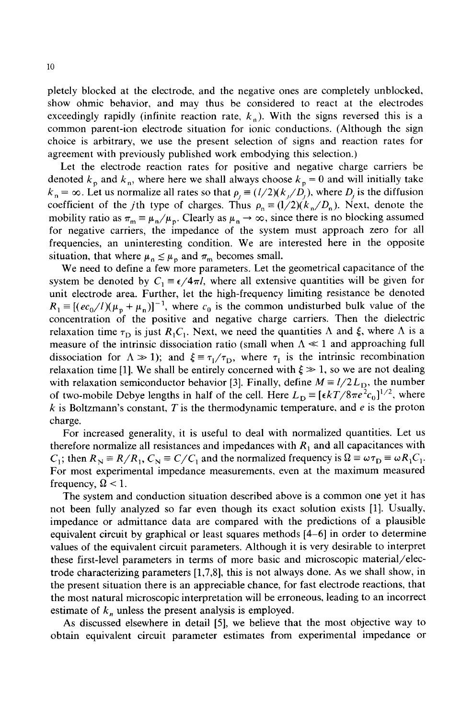pletely blocked at the electrode, and the negative ones are completely unblocked, show ohmic behavior, and may thus be considered to react at the electrodes exceedingly rapidly (infinite reaction rate,  $k<sub>n</sub>$ ). With the signs reversed this is a common parent-ion electrode situation for ionic conductions. (Although the sign choice is arbitrary, we use the present selection of signs and reaction rates for agreement with previously published work embodying this selection.)

Let the electrode reaction rates for positive and negative charge carriers be denoted  $k_p$  and  $k_p$ , where here we shall always choose  $k_p = 0$  and will initially take  $k<sub>n</sub> = \infty$ . Let us normalize all rates so that  $\rho<sub>i</sub> = (l/2)(k<sub>i</sub>/D<sub>i</sub>)$ , where  $D<sub>i</sub>$  is the diffusion coefficient of the *j*th type of charges. Thus  $\rho_n = (1/2)(k_n/D_n)$ . Next, denote the mobility ratio as  $\pi_m \equiv \mu_n/\mu_p$ . Clearly as  $\mu_n \to \infty$ , since there is no blocking assumed for negative carriers, the impedance of the system must approach zero for all frequencies, an uninteresting condition. We are interested here in the opposite situation, that where  $\mu_n \leq \mu_p$  and  $\pi_m$  becomes small.

We need to define a few more parameters. Let the geometrical capacitance of the system be denoted by  $C_1 = \epsilon/4\pi l$ , where all extensive quantities will be given for unit electrode area. Further, let the high-frequency limiting resistance be denoted  $R_1 \equiv [(ec_0/l)(\mu_p + \mu_n)]^{-1}$ , where  $c_0$  is the common undisturbed bulk value of the concentration of the positive and negative charge carriers. Then the dielectric relaxation time  $\tau_{\text{D}}$  is just  $R_1C_1$ . Next, we need the quantities  $\Lambda$  and  $\xi$ , where  $\Lambda$  is a measure of the intrinsic dissociation ratio (small when  $\Lambda \ll 1$  and approaching full dissociation for  $\Lambda \gg 1$ ); and  $\xi = \tau_{I}/\tau_{D}$ , where  $\tau_{I}$  is the intrinsic recombination relaxation time [1]. We shall be entirely concerned with  $\xi \gg 1$ , so we are not dealing with relaxation semiconductor behavior [3]. Finally, define  $M = l/2L<sub>D</sub>$ , the number of two-mobile Debye lengths in half of the cell. Here  $L_D = [\epsilon kT/8\pi e^2c_0]^{1/2}$ , where  $k$  is Boltzmann's constant,  $T$  is the thermodynamic temperature, and  $e$  is the proton charge.

For increased generality, it is useful to deal with normalized quantities. Let us therefore normalize all resistances and impedances with  $R_1$  and all capacitances with  $C_1$ ; then  $R_N = R/R_1$ ,  $C_N = C/C_1$  and the normalized frequency is  $\Omega = \omega \tau_D = \omega R_1 C_1$ . For most experimental impedance measurements, even at the maximum measured frequency,  $\Omega$  < 1.

The system and conduction situation described above is a common one yet it has not been fully analyzed so far even though its exact solution exists [1]. Usually, impedance or admittance data are compared with the predictions of a plausible equivalent circuit by graphical or least squares methods [4-6] in order to determine values of the equivalent circuit parameters. Although it is very desirable to interpret these first-level parameters in terms of more basic and microscopic material/electrode characterizing parameters [1,7,8], this is not always done. As we shall show, in the present situation there is an appreciable chance, for fast electrode reactions, that the most natural microscopic interpretation will be erroneous, leading to an incorrect estimate of  $k_n$  unless the present analysis is employed.

As discussed elsewhere in detail [5], we believe that the most objective way to obtain equivalent circuit parameter estimates from experimental impedance or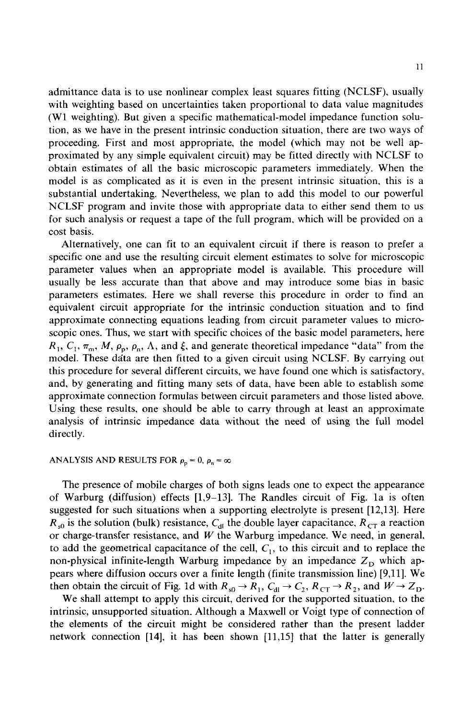admittance data is to use nonlinear complex least squares fitting (NCLSF), usually with weighting based on uncertainties taken proportional to data value magnitudes (W1 weighting). But given a specific mathematical-model impedance function solution, as we have in the present intrinsic conduction situation, there are two ways of proceeding. First and most appropriate, the model (which may not be well approximated by any simple equivalent circuit) may be fitted directly with NCLSF to obtain estimates of all the basic microscopic parameters immediately. When the model is as complicated as it is even in the present intrinsic situation, this is a substantial undertaking. Nevertheless, we plan to add this model to our powerful NCLSF program and invite those with appropriate data to either send them to us for such analysis or request a tape of the full program, which will be provided on a cost basis.

Alternatively, one can fit to an equivalent circuit if there is reason to prefer a specific one and use the resulting circuit element estimates to solve for microscopic parameter values when an appropriate model is available. This procedure will usually be less accurate than that above and may introduce some bias in basic parameters estimates. Here we shall reverse this procedure in order to find an equivalent circuit appropriate for the intrinsic conduction situation and to find approximate connecting equations leading from circuit parameter values to microscopic ones. Thus, we start with specific choices of the basic model parameters, here  $R_1, C_1, \pi_m, M, \rho_p, \rho_n, \Lambda$ , and  $\xi$ , and generate theoretical impedance "data" from the model. These data are then fitted to a given circuit using NCLSF. By carrying out this procedure for several different circuits, we have found one which is satisfactory, and, by generating and fitting many sets of data, have been able to establish some approximate connection formulas between circuit parameters and those listed above. Using these results, one should be able to carry through at least an approximate analysis of intrinsic impedance data without the need of using the full model directly.

## ANALYSIS AND RESULTS FOR  $\rho_p = 0$ ,  $\rho_n = \infty$

The presence of mobile charges of both signs leads one to expect the appearance of Warburg (diffusion) effects [1,9-13]. The Randles circuit of Fig. la is often suggested for such situations when a supporting electrolyte is present [12,13]. Here  $R_{s0}$  is the solution (bulk) resistance,  $C_{\rm dI}$  the double layer capacitance,  $R_{\rm CT}$  a reaction or charge-transfer resistance, and  $W$  the Warburg impedance. We need, in general, to add the geometrical capacitance of the cell,  $C_1$ , to this circuit and to replace the non-physical infinite-length Warburg impedance by an impedance  $Z_D$  which appears where diffusion occurs over a finite length (finite transmission line) [9,11]. We then obtain the circuit of Fig. 1d with  $R_{s0} \to R_1$ ,  $C_{d1} \to C_2$ ,  $R_{CT} \to R_2$ , and  $W \to Z_D$ .

We shall attempt to apply this circuit, derived for the supported situation, to the intrinsic, unsupported situation. Although a Maxwell or Voigt type of connection of the elements of the circuit might be considered rather than the present ladder network connection [14], it has been shown [11,15] that the latter is generally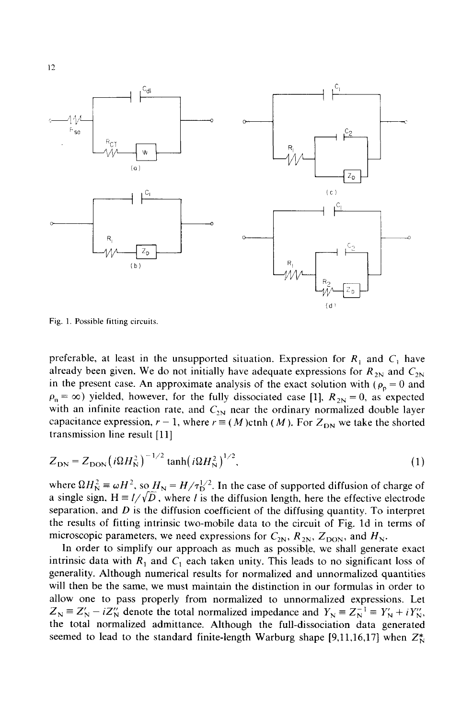

Fig. 1. Possible fitting circuits.

preferable, at least in the unsupported situation. Expression for  $R_1$  and  $C_1$  have already been given. We do not initially have adequate expressions for  $R_{2N}$  and  $C_{2N}$ in the present case. An approximate analysis of the exact solution with ( $\rho_p = 0$  and  $\rho_n = \infty$ ) yielded, however, for the fully dissociated case [1],  $R_{2N} = 0$ , as expected with an infinite reaction rate, and  $C_{2N}$  near the ordinary normalized double layer capacitance expression,  $r - 1$ , where  $r \equiv (M)$ ctnh (M). For  $Z_{DN}$  we take the shorted transmission line result [11]

$$
Z_{\rm DN} = Z_{\rm DON} \left( i\Omega H_{\rm N}^2 \right)^{-1/2} \tanh \left( i\Omega H_{\rm N}^2 \right)^{1/2},\tag{1}
$$

where  $\Omega H_{\text{N}}^2 \equiv \omega H^2$ , so  $H_{\text{N}} = H/\tau_{\text{D}}^{1/2}$ . In the case of supported diffusion of charge of a single sign.  $H = I/\sqrt{D}$ , where *l* is the diffusion length, here the effective electrode separation, and  $D$  is the diffusion coefficient of the diffusing quantity. To interpret the results of fitting intrinsic two-mobile data to the circuit of Fig. ld in terms of microscopic parameters, we need expressions for  $C_{2N}$ ,  $R_{2N}$ ,  $Z_{\text{DON}}$ , and  $H_{N}$ .

In order to simplify our approach as much as possible, we shall generate exact intrinsic data with  $R_1$  and  $C_1$  each taken unity. This leads to no significant loss of generality. Although numerical results for normalized and unnormalized quantities will then be the same, we must maintain the distinction in our formulas in order to allow one to pass properly from normalized to unnormalized expressions. Let  $Z_N \equiv Z'_N - iZ''_N$  denote the total normalized impedance and  $Y_N \equiv Z_N^{-1} \equiv Y'_N + iY''_N$ , the total normalized admittance. Although the full-dissociation data generated seemed to lead to the standard finite-length Warburg shape [9,11,16,17] when  $Z_N^*$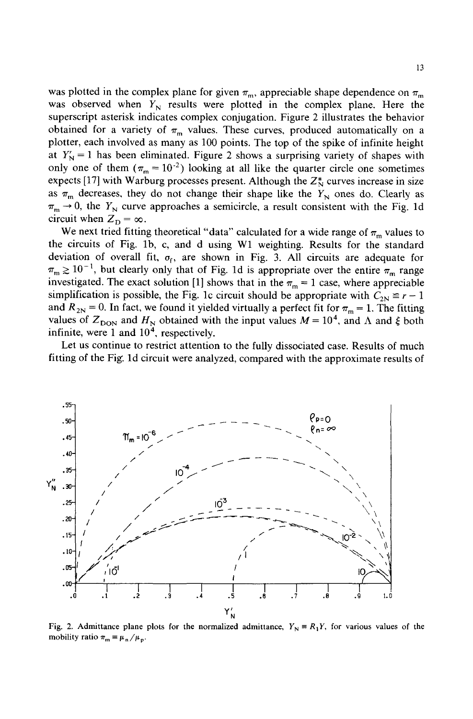was plotted in the complex plane for given  $\pi_m$ , appreciable shape dependence on  $\pi_m$ was observed when  $Y_N$  results were plotted in the complex plane. Here the superscript asterisk indicates complex conjugation. Figure 2 illustrates the behavior obtained for a variety of  $\pi_{\rm m}$  values. These curves, produced automatically on a plotter, each involved as many as 100 points. The top of the spike of infinite height at  $Y_N' = 1$  has been eliminated. Figure 2 shows a surprising variety of shapes with only one of them  $(\pi_m = 10^{-2})$  looking at all like the quarter circle one sometimes expects [17] with Warburg processes present. Although the  $Z_N^*$  curves increase in size as  $\pi_m$  decreases, they do not change their shape like the Y<sub>N</sub> ones do. Clearly as  $\pi_m \rightarrow 0$ , the Y<sub>N</sub> curve approaches a semicircle, a result consistent with the Fig. 1d circuit when  $Z_D = \infty$ .

We next tried fitting theoretical "data" calculated for a wide range of  $\pi_{\rm m}$  values to the circuits of Fig. 1b, c, and d using W1 weighting. Results for the standard deviation of overall fit,  $\sigma_f$ , are shown in Fig. 3. All circuits are adequate for  $\pi_m \ge 10^{-1}$ , but clearly only that of Fig. 1d is appropriate over the entire  $\pi_m$  range investigated. The exact solution [1] shows that in the  $\pi_m = 1$  case, where appreciable simplification is possible, the Fig. 1c circuit should be appropriate with  $C_{2N} \equiv r - 1$ and  $R_{2N} = 0$ . In fact, we found it yielded virtually a perfect fit for  $\pi_m = 1$ . The fitting values of  $Z_{\text{DON}}$  and  $H_{\text{N}}$  obtained with the input values  $M = 10^4$ , and  $\Lambda$  and  $\xi$  both infinite, were 1 and  $10<sup>4</sup>$ , respectively.

Let us continue to restrict attention to the fully dissociated case. Results of much fitting of the Fig. ld circuit were analyzed, compared with the approximate results of



Fig. 2. Admittance plane plots for the normalized admittance,  $Y_N = R_1 Y$ , for various values of the mobility ratio  $\pi_{\text{m}} = \mu_{\text{n}} / \mu_{\text{p}}$ .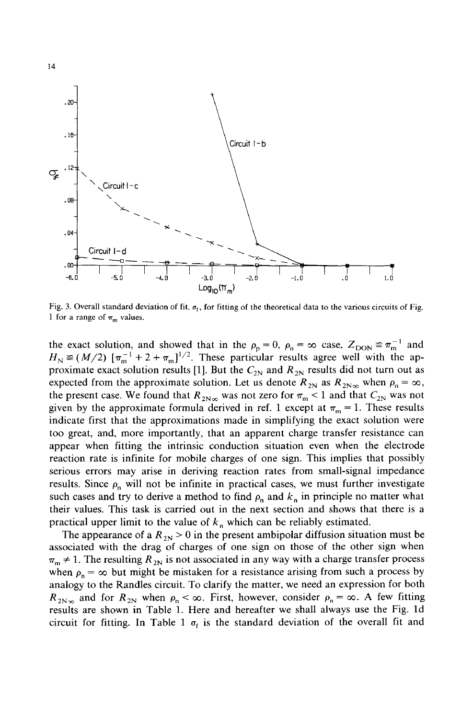

Fig. 3. Overall standard deviation of fit,  $\sigma_f$ , for fitting of the theoretical data to the various circuits of Fig. 1 for a range of  $\pi_{m}$  values.

the exact solution, and showed that in the  $\rho_p = 0$ ,  $\rho_n = \infty$  case,  $Z_{\text{DON}} \equiv \pi_m^{-1}$  and  $H_{\text{N}} \equiv (M/2) [\pi_{\text{m}}^{-1} + 2 + \pi_{\text{m}}]^{1/2}$ . These particular results agree well with the approximate exact solution results [1]. But the  $C_{2N}$  and  $R_{2N}$  results did not turn out as expected from the approximate solution. Let us denote  $R_{2N}$  as  $R_{2N\infty}$  when  $\rho_n = \infty$ , the present case. We found that  $R_{2N\infty}$  was not zero for  $\pi_{m}$  < 1 and that  $C_{2N}$  was not given by the approximate formula derived in ref. 1 except at  $\pi_m = 1$ . These results indicate first that the approximations made in simplifying the exact solution were too great, and, more importantly, that an apparent charge transfer resistance can appear when fitting the intrinsic conduction situation even when the electrode reaction rate is infinite for mobile charges of one sign. This implies that possibly serious errors may arise in deriving reaction rates from small-signal impedance results. Since  $\rho_n$  will not be infinite in practical cases, we must further investigate such cases and try to derive a method to find  $\rho_n$  and  $k_n$  in principle no matter what their values. This task is carried out in the next section and shows that there is a practical upper limit to the value of  $k_n$  which can be reliably estimated.

The appearance of a  $R_{2N} > 0$  in the present ambipolar diffusion situation must be associated with the drag of charges of one sign on those of the other sign when  $\pi_{m} \neq 1$ . The resulting  $R_{2N}$  is not associated in any way with a charge transfer process when  $\rho_n = \infty$  but might be mistaken for a resistance arising from such a process by analogy to the Randles circuit. To clarify the matter, we need an expression for both  $R_{2N\infty}$  and for  $R_{2N}$  when  $\rho_n < \infty$ . First, however, consider  $\rho_n = \infty$ . A few fitting results are shown in Table 1. Here and hereafter we shall always use the Fig. ld circuit for fitting. In Table 1  $\sigma_f$  is the standard deviation of the overall fit and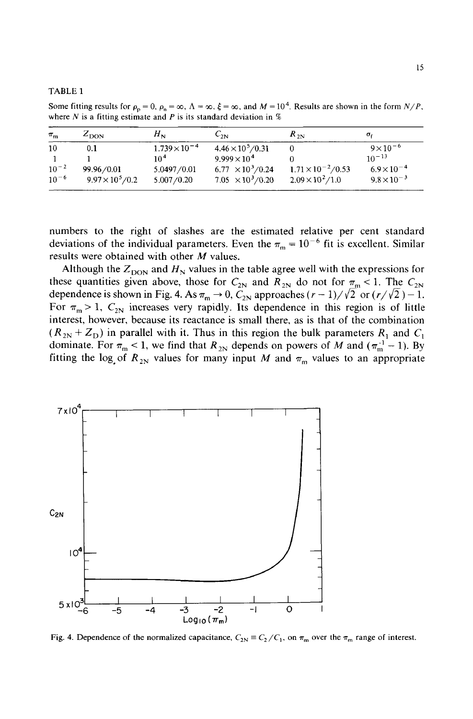#### TABLE 1

Some fitting results for  $\rho_p = 0$ ,  $\rho_n = \infty$ ,  $\Lambda = \infty$ ,  $\xi = \infty$ , and  $M = 10^4$ . Results are shown in the form  $N/P$ , where N is a fitting estimate and P is its standard deviation in  $%$ 

| $\pi_{\rm m}$ | $Z_{\text{DON}}$         | $H_{\rm N}$            | $C_{2N}$                            | $R_{2N}$                     | σε                   |
|---------------|--------------------------|------------------------|-------------------------------------|------------------------------|----------------------|
| 10            | 0.1                      | $1.739 \times 10^{-4}$ | $4.46 \times 10^5 / 0.31$           |                              | $9 \times 10^{-6}$   |
|               |                          | 10 <sup>4</sup>        | $9.999 \times 10^{4}$               |                              | $10^{-13}$           |
| $10^{-2}$     | 99.96/0.01               | 5.0497/0.01            | $6.77 \times 10^3 / 0.24$           | $1.71 \times 10^{-2} / 0.53$ | $6.9 \times 10^{-4}$ |
| $10^{-6}$     | $9.97 \times 10^5 / 0.2$ | 5.007/0.20             | 7.05 $\times$ 10 <sup>3</sup> /0.20 | $2.09\times10^{2}/1.0$       | $9.8 \times 10^{-3}$ |

numbers to the right of slashes are the estimated relative per cent standard deviations of the individual parameters. Even the  $\pi_m = 10^{-6}$  fit is excellent. Similar results were obtained with other M values.

Although the  $Z_{\text{DON}}$  and  $H_{\text{N}}$  values in the table agree well with the expressions for these quantities given above, those for  $C_{2N}$  and  $R_{2N}$  do not for  $\pi_{\text{m}} < 1$ . The  $C_{2N}$ dependence is shown in Fig. 4. As  $\pi_m \to 0$ ,  $C_{2N}$  approaches  $(r-1)/\sqrt{2}$  or  $(r/\sqrt{2})-1$ . For  $\pi_{\rm m} > 1$ ,  $C_{2N}$  increases very rapidly. Its dependence in this region is of little interest, however, because its reactance is small there, as is that of the combination  $(R_{2N} + Z_D)$  in parallel with it. Thus in this region the bulk parameters  $R_1$  and  $C_1$ dominate. For  $\pi_{\text{m}} < 1$ , we find that  $R_{2N}$  depends on powers of M and ( $\pi_{\text{m}}^{-1} - 1$ ). By fitting the log of  $R_{2N}$  values for many input M and  $\pi_m$  values to an appropriate



Fig. 4. Dependence of the normalized capacitance,  $C_{2N} \equiv C_2/C_1$ , on  $\pi_m$  over the  $\pi_m$  range of interest.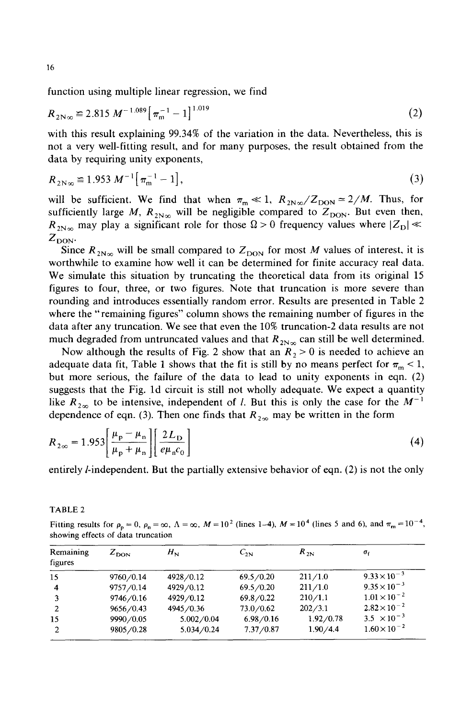function using multiple linear regression, we find

$$
R_{2N\infty} \approx 2.815 \, M^{-1.089} \left[ \pi_{m}^{-1} - 1 \right]^{1.019} \tag{2}
$$

with this result explaining 99.34% of the variation in the data. Nevertheless, this is not a very well-fitting result, and for many purposes, the result obtained from the data by requiring unity exponents,

$$
R_{2N\infty} \equiv 1.953 \, M^{-1} \big[ \, \pi_{\rm m}^{-1} - 1 \big], \tag{3}
$$

will be sufficient. We find that when  $\pi_{m} \ll 1$ ,  $R_{2N\infty}/Z_{\text{DON}} \approx 2/M$ . Thus, for sufficiently large M,  $R_{2N\infty}$  will be negligible compared to  $Z_{\text{DON}}$ . But even then,  $R_{2N\infty}$  may play a significant role for those  $\Omega > 0$  frequency values where  $|Z_{\text{D}}| \ll 1$  $Z_{\text{DON}}$ .

Since  $R_{2N_{\infty}}$  will be small compared to  $Z_{\text{DON}}$  for most M values of interest, it is worthwhile to examine how well it can be determined for finite accuracy real data. We simulate this situation by truncating the theoretical data from its original 15 figures to four, three, or two figures. Note that truncation is more severe than rounding and introduces essentially random error. Results are presented in Table 2 where the "remaining figures" column shows the remaining number of figures in the data after any truncation. We see that even the 10% truncation-2 data results are not much degraded from untruncated values and that  $R_{2N_{\infty}}$  can still be well determined.

Now although the results of Fig. 2 show that an  $R_2 > 0$  is needed to achieve an adequate data fit, Table 1 shows that the fit is still by no means perfect for  $\pi_{\rm m}$  < 1, but more serious, the failure of the data to lead to unity exponents in eqn. (2) suggests that the Fig. ld circuit is still not wholly adequate. We expect a quantity like  $R_{2\infty}$  to be intensive, independent of *l*. But this is only the case for the  $M^{-1}$ dependence of eqn. (3). Then one finds that  $R_{2\infty}$  may be written in the form

$$
R_{2\infty} = 1.953 \left[ \frac{\mu_{\rm p} - \mu_{\rm n}}{\mu_{\rm p} + \mu_{\rm n}} \right] \left[ \frac{2L_{\rm D}}{e\mu_{\rm n}c_0} \right]
$$
 (4)

entirely/-independent. But the partially extensive behavior of eqn. (2) is not the only

Fitting results for  $\rho_p = 0$ ,  $\rho_q = \infty$ ,  $\Lambda = \infty$ ,  $M = 10^2$  (lines 1-4),  $M = 10^4$  (lines 5 and 6), and  $\pi_m = 10^{-4}$ , showing effects of data truncation

| Remaining<br>figures | $Z_{\text{DON}}$ | $H_{\rm N}$ | $C_{2N}$  | $R_{2N}$   | $\sigma_{\rm f}$      |
|----------------------|------------------|-------------|-----------|------------|-----------------------|
| 15                   | 9760/0.14        | 4928/0.12   | 69.5/0.20 | 211/1.0    | $9.33 \times 10^{-3}$ |
| $\overline{\bf 4}$   | 9757/0.14        | 4929/0.12   | 69.5/0.20 | 211/1.0    | $9.35 \times 10^{-3}$ |
| 3                    | 9746/0.16        | 4929/0.12   | 69.8/0.22 | 210/1.1    | $1.01 \times 10^{-2}$ |
|                      | 9656/0.43        | 4945/0.36   | 73.0/0.62 | 202/3.1    | $2.82 \times 10^{-2}$ |
| 15                   | 9990/0.05        | 5.002/0.04  | 6.98/0.16 | 1.92/0.78  | $3.5 \times 10^{-3}$  |
| $\overline{2}$       | 9805/0.28        | 5.034/0.24  | 7.37/0.87 | 1.90 / 4.4 | $1.60\times10^{-2}$   |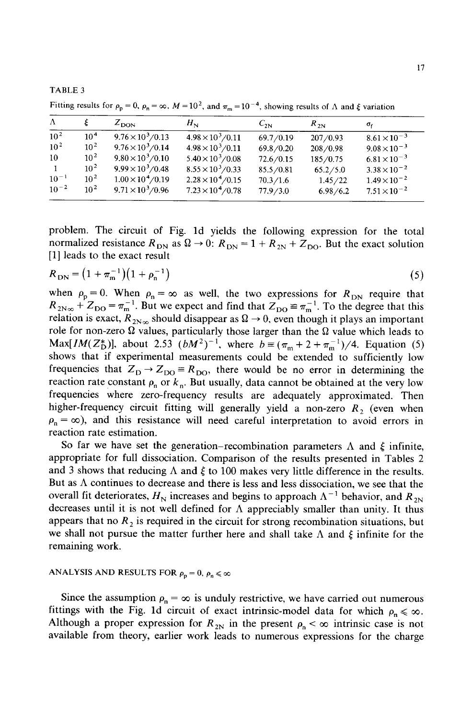TABLE 3

Fitting results for  $\rho_p = 0$ ,  $\rho_n = \infty$ ,  $M = 10^2$ , and  $\pi_m = 10^{-4}$ , showing results of  $\Lambda$  and  $\xi$  variation

| $\Lambda$    |                 | $Z_{\text{DON}}$          | $H_{\rm N}$               | $C_{2N}$  | $R_{2N}$   | $\sigma_{\rm f}$      |
|--------------|-----------------|---------------------------|---------------------------|-----------|------------|-----------------------|
| $10^{2}$     | 10 <sup>4</sup> | $9.76 \times 10^3 / 0.13$ | $4.98 \times 10^3 / 0.11$ | 69.7/0.19 | 207/0.93   | $8.61 \times 10^{-3}$ |
| $10^{2}$     | $10^{2}$        | $9.76 \times 10^3 / 0.14$ | $4.98 \times 10^3 / 0.11$ | 69.8/0.20 | 208/0.98   | $9.08 \times 10^{-3}$ |
| 10           | 10 <sup>2</sup> | $9.80 \times 10^3 / 0.10$ | $5.40 \times 10^3 / 0.08$ | 72.6/0.15 | 185/0.75   | $6.81 \times 10^{-3}$ |
| $\mathbf{1}$ | $10^{2}$        | $9.99 \times 10^3 / 0.48$ | $8.55 \times 10^3 / 0.33$ | 85.5/0.81 | 65.2 / 5.0 | $3.38 \times 10^{-2}$ |
| $10^{-1}$    | $10^{2}$        | $1.00 \times 10^4 / 0.19$ | $2.28 \times 10^4 / 0.15$ | 70.3/1.6  | 1.45/22    | $1.49 \times 10^{-2}$ |
| $10^{-2}$    | $10^{2}$        | $9.71 \times 10^3 / 0.96$ | $7.23 \times 10^4 / 0.78$ | 77.9/3.0  | 6.98/6.2   | $7.51 \times 10^{-2}$ |

problem. The circuit of Fig. ld yields the following expression for the total normalized resistance  $R_{DN}$  as  $\Omega \rightarrow 0$ :  $R_{DN} = 1 + R_{2N} + Z_{DO}$ . But the exact solution [1] leads to the exact result

$$
R_{\rm DN} = \left(1 + \pi_{\rm m}^{-1}\right) \left(1 + \rho_{\rm n}^{-1}\right) \tag{5}
$$

when  $\rho_p = 0$ . When  $\rho_n = \infty$  as well, the two expressions for  $R_{DN}$  require that  $R_{2N\infty}$  +  $Z_{\text{DO}} = \pi_{\text{m}}^{-1}$ . But we expect and find that  $Z_{\text{DO}} \cong \pi_{\text{m}}^{-1}$ . To the degree that this relation is exact,  $R_{2N_{\infty}}$  should disappear as  $\Omega \rightarrow 0$ , even though it plays an important role for non-zero  $\Omega$  values, particularly those larger than the  $\Omega$  value which leads to *Max[IM(Z<sup>\*</sup><sub>D</sub>)]*, about 2.53  $(bM^2)^{-1}$ , where  $b \equiv (\pi_m + 2 + \pi_m^{-1})/4$ . Equation (5) shows that if experimental measurements could be extended to sufficiently low frequencies that  $Z_D \rightarrow Z_{DO} = R_{DO}$ , there would be no error in determining the reaction rate constant  $\rho_n$  or  $k_n$ . But usually, data cannot be obtained at the very low frequencies Where zero-frequency results are adequately approximated. Then higher-frequency circuit fitting will generally yield a non-zero  $R_2$  (even when  $p_n = \infty$ ), and this resistance will need careful interpretation to avoid errors in reaction rate estimation.

So far we have set the generation–recombination parameters  $\Lambda$  and  $\xi$  infinite, appropriate for full dissociation. Comparison of the results presented in Tables 2 and 3 shows that reducing  $\Lambda$  and  $\xi$  to 100 makes very little difference in the results. But as  $\Lambda$  continues to decrease and there is less and less dissociation, we see that the overall fit deteriorates,  $H<sub>N</sub>$  increases and begins to approach  $\Lambda^{-1}$  behavior, and  $R<sub>2N</sub>$ decreases until it is not well defined for  $\Lambda$  appreciably smaller than unity. It thus appears that no  $R_2$  is required in the circuit for strong recombination situations, but we shall not pursue the matter further here and shall take  $\Lambda$  and  $\xi$  infinite for the remaining work.

## ANALYSIS AND RESULTS FOR  $\rho_p = 0$ ,  $\rho_n \leq \infty$

Since the assumption  $\rho_n = \infty$  is unduly restrictive, we have carried out numerous fittings with the Fig. 1d circuit of exact intrinsic-model data for which  $\rho_n \leq \infty$ . Although a proper expression for  $R_{2N}$  in the present  $\rho_n < \infty$  intrinsic case is not available from theory, earlier work leads to numerous expressions for the charge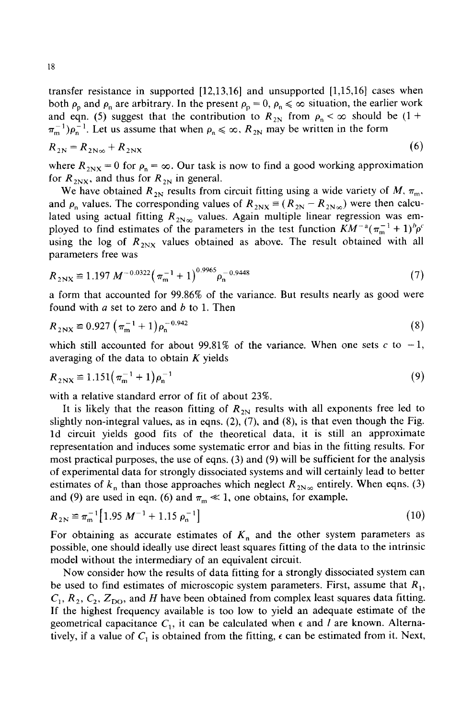transfer resistance in supported [12,13,16] and unsupported [1,15,16] cases when both  $\rho_p$  and  $\rho_n$  are arbitrary. In the present  $\rho_p = 0$ ,  $\rho_n \leq \infty$  situation, the earlier work and eqn. (5) suggest that the contribution to  $R_{2N}$  from  $\rho_n < \infty$  should be (1+  $\pi_m^{-1}$ ) $\rho_n^{-1}$ . Let us assume that when  $\rho_n \leq \infty$ ,  $R_{2N}$  may be written in the form

$$
R_{2N} = R_{2N\infty} + R_{2NX} \tag{6}
$$

where  $R_{2NX} = 0$  for  $\rho_n = \infty$ . Our task is now to find a good working approximation for  $R_{2N \times}$ , and thus for  $R_{2N}$  in general.

We have obtained  $R_{2N}$  results from circuit fitting using a wide variety of *M*,  $\pi_{m}$ , and  $\rho_n$  values. The corresponding values of  $R_{2N} = (R_{2N} - R_{2N\infty})$  were then calculated using actual fitting  $R_{2N_{\infty}}$  values. Again multiple linear regression was employed to find estimates of the parameters in the test function  $KM^{-a}(\pi_{m}^{-1}+1)^{b}\rho^{c}$ using the log of  $R_{2NX}$  values obtained as above. The result obtained with all parameters free was

$$
R_{2\text{NX}} \equiv 1.197 \, M^{-0.0322} \big(\, \pi_{\text{m}}^{-1} + 1 \big)^{0.9965} \rho_{\text{n}}^{-0.9448} \tag{7}
$$

a form that accounted for 99.86% of the variance. But results nearly as good were found with  $a$  set to zero and  $b$  to 1. Then

$$
R_{2\text{NX}} \equiv 0.927 \left( \pi_{\text{m}}^{-1} + 1 \right) \rho_{\text{n}}^{-0.942} \tag{8}
$$

which still accounted for about 99.81% of the variance. When one sets  $c$  to  $-1$ , averaging of the data to obtain  $K$  yields

$$
R_{2\text{NX}} \equiv 1.151 \left( \pi_{\text{m}}^{-1} + 1 \right) \rho_{\text{n}}^{-1} \tag{9}
$$

with a relative standard error of fit of about 23%.

It is likely that the reason fitting of  $R_{2N}$  results with all exponents free led to slightly non-integral values, as in eqns.  $(2)$ ,  $(7)$ , and  $(8)$ , is that even though the Fig. ld circuit yields good fits of the theoretical data, it is still an approximate representation and induces some systematic error and bias in the fitting results. For most practical purposes, the use of eqns. (3) and (9) will be sufficient for the analysis of experimental data for strongly dissociated systems and will certainly lead to better estimates of  $k_n$  than those approaches which neglect  $R_{2N_{\infty}}$  entirely. When eqns. (3) and (9) are used in eqn. (6) and  $\pi_{m} \ll 1$ , one obtains, for example,

$$
R_{2N} \cong \pi_{m}^{-1} \left[ 1.95 \ M^{-1} + 1.15 \ \rho_{n}^{-1} \right] \tag{10}
$$

For obtaining as accurate estimates of  $K_n$  and the other system parameters as possible, one should ideally use direct least squares fitting of the data to the intrinsic model without the intermediary of an equivalent circuit.

Now consider how the results of data fitting for a strongly dissociated system can be used to find estimates of microscopic system parameters. First, assume that  $R_1$ ,  $C_1$ ,  $R_2$ ,  $C_2$ ,  $Z_{\text{DO}}$ , and H have been obtained from complex least squares data fitting. If the highest frequency available is too low to yield an adequate estimate of the geometrical capacitance  $C_1$ , it can be calculated when  $\epsilon$  and l are known. Alternatively, if a value of  $C_1$  is obtained from the fitting,  $\epsilon$  can be estimated from it. Next,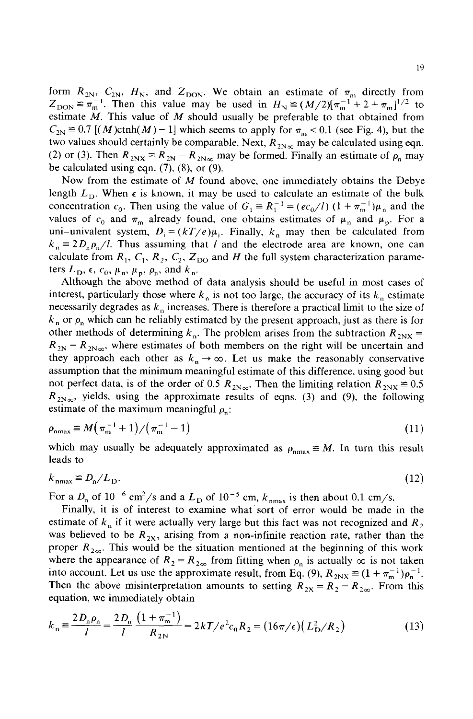form  $R_{2N}$ ,  $C_{2N}$ ,  $H_N$ , and  $Z_{\text{DON}}$ . We obtain an estimate of  $\pi_m$  directly from  $Z_{\text{DON}} \equiv \pi_{\text{m}}^{-1}$ . Then this value may be used in  $H_{\text{N}} \equiv (M/2)[\pi_{\text{m}}^{-1} + 2 + \pi_{\text{m}}^{-1}]^{1/2}$  to estimate  $M$ . This value of  $M$  should usually be preferable to that obtained from  $C_{2N} \cong 0.7$  [(M)ctnh(M) - 1] which seems to apply for  $\pi_{m}$  < 0.1 (see Fig. 4), but the two values should certainly be comparable. Next,  $R_{2N_{\infty}}$  may be calculated using eqn. (2) or (3). Then  $R_{2NX} = R_{2N} - R_{2N_{\infty}}$  may be formed. Finally an estimate of  $\rho_n$  may be calculated using eqn. (7), (8), or (9).

Now from the estimate of M found above, one immediately obtains the Debye length  $L_{\rm D}$ . When  $\epsilon$  is known, it may be used to calculate an estimate of the bulk concentration  $c_0$ . Then using the value of  $G_1 = R_1^{-1} = (ec_0/l) (1 + \pi_m^{-1})\mu_n$  and the values of  $c_0$  and  $\pi_m$  already found, one obtains estimates of  $\mu_n$  and  $\mu_p$ . For a uni-univalent system,  $D_i = (kT/e)\mu_i$ . Finally,  $k_n$  may then be calculated from  $k_n = 2D_p \rho_p/l$ . Thus assuming that l and the electrode area are known, one can calculate from  $R_1, C_1, R_2, C_2, Z_{DO}$  and H the full system characterization parameters  $L_{\rm D}$ ,  $\epsilon$ ,  $c_0$ ,  $\mu_{\rm n}$ ,  $\mu_{\rm p}$ ,  $\rho_{\rm n}$ , and  $k_{\rm n}$ .

Although the above method of data analysis should be useful in most cases of interest, particularly those where  $k_n$  is not too large, the accuracy of its  $k_n$  estimate necessarily degrades as  $k_n$  increases. There is therefore a practical limit to the size of  $k_n$  or  $\rho_n$  which can be reliably estimated by the present approach, just as there is for other methods of determining  $k_n$ . The problem arises from the subtraction  $R_{2NX}$  =  $R_{2N}- R_{2N\infty}$ , where estimates of both members on the right will be uncertain and they approach each other as  $k_n \to \infty$ . Let us make the reasonably conservative assumption that the minimum meaningful estimate of this difference, using good but not perfect data, is of the order of 0.5  $R_{2N\infty}$ . Then the limiting relation  $R_{2NX} \equiv 0.5$  $R_{2N_{\infty}}$ , yields, using the approximate results of eqns. (3) and (9), the following estimate of the maximum meaningful  $\rho_n$ :

$$
\rho_{\text{nnax}} \equiv M(\pi_{\text{m}}^{-1} + 1) / (\pi_{\text{m}}^{-1} - 1) \tag{11}
$$

which may usually be adequately approximated as  $\rho_{nmax} \equiv M$ . In turn this result leads to

$$
k_{\max} \equiv D_{\rm n}/L_{\rm D}.\tag{12}
$$

For a  $D_n$  of 10<sup>-6</sup> cm<sup>2</sup>/s and a  $L_D$  of 10<sup>-5</sup> cm,  $k_{nmax}$  is then about 0.1 cm/s.

Finally, it is of interest to examine what sort of error would be made in the estimate of  $k_n$  if it were actually very large but this fact was not recognized and  $R_2$ was believed to be  $R_{2X}$ , arising from a non-infinite reaction rate, rather than the proper  $R_{2\infty}$ . This would be the situation mentioned at the beginning of this work where the appearance of  $R_2 = R_{2\infty}$  from fitting when  $\rho_n$  is actually  $\infty$  is not taken into account. Let us use the approximate result, from Eq. (9),  $R_{2NX} \equiv (1 + \pi_{m}^{-1})\rho_{n}^{-1}$ . Then the above misinterpretation amounts to setting  $R_{2x} = R_2 = R_{2\infty}$ . From this equation, we immediately obtain

$$
k_{\rm n} \equiv \frac{2D_{\rm n}\rho_{\rm n}}{l} = \frac{2D_{\rm n}}{l} \frac{\left(1 + \pi_{\rm n}^{-1}\right)}{R_{2\rm N}} = 2kT/e^2c_0R_2 = \left(16\pi/\epsilon\right)\left(L_{\rm D}^2/R_2\right) \tag{13}
$$